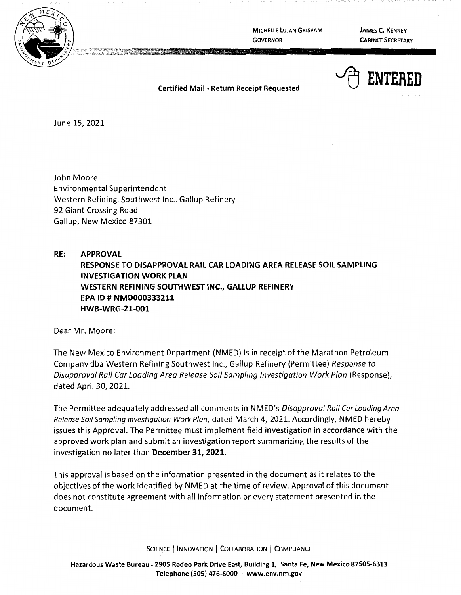

**MICHELLE LUJAN GRISHAM GOVERNOR** 

**JAMES C. KENNEY CABINET SECRETARY** 

~ **ENTERED** 

**Certified Mail** - **Return Receipt Requested** 

June 15, 2021

John Moore Environmental Superintendent Western Refining, Southwest Inc., Gallup Refinery 92 Giant Crossing Road Gallup, New Mexico 87301

**RE: APPROVAL RESPONSE TO DISAPPROVAL RAIL CAR LOADING AREA RELEASE SOIL SAMPLING INVESTIGATION WORK PLAN WESTERN REFINING SOUTHWEST INC., GALLUP REFINERY EPA ID# NMD000333211 HWB-WRG-21-001** 

Dear Mr. Moore:

The New Mexico Environment Department (NMED) is in receipt of the Marathon Petroleum Company dba Western Refining Southwest Inc., Gallup Refinery (Permittee) Response to Disapproval Rail Car Loading Area Release Soil Sampling Investigation Work Plan (Response), dated April 30, 2021.

The Perrnittee adequately addressed all comments in NMED's Disapproval Rail Car Loading Area Release Soil Sampling Investigation Work Plan, dated March 4, 2021. Accordingly, NMED hereby issues this Approval. The Permittee must implement field investigation in accordance with the approved work plan and submit an investigation report summarizing the results of the investigation no later than **December 31, 2021.** 

This approval is based on the information presented in the document as it relates to the objectives of the work identified by NMED at the time of review. Approval of this document does not constitute agreement with all information or every statement presented in the document.

SCIENCE | INNOVATION | COLLABORATION | COMPLIANCE

**Hazardous Waste Bureau** - **2905 Rodeo Park Drive East, Building 1, Santa Fe, New Mexico 87505-6313 Telephone (505) 476-6000** - **www.env.nm.gov**